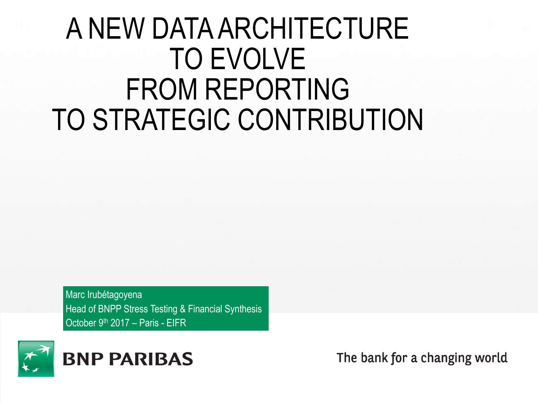## A NEW DATA ARCHITECTURE TO EVOLVE FROM REPORTING TO STRATEGIC CONTRIBUTION

Marc Irubétagoyena Head of BNPP Stress Testing & Financial Synthesis October 9<sup>th</sup> 2017 – Paris - EIFR



The bank for a changing world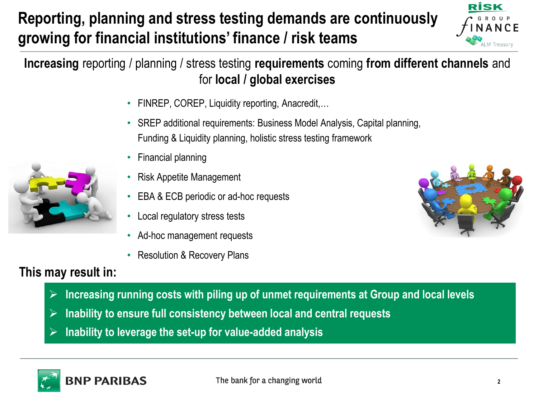#### **Reporting, planning and stress testing demands are continuously growing for financial institutions' finance / risk teams**



**Increasing** reporting / planning / stress testing **requirements** coming **from different channels** and for **local / global exercises**

- FINREP, COREP, Liquidity reporting, Anacredit,…
- SREP additional requirements: Business Model Analysis, Capital planning, Funding & Liquidity planning, holistic stress testing framework
- Financial planning
- Risk Appetite Management
- EBA & ECB periodic or ad-hoc requests
- Local regulatory stress tests
- Ad-hoc management requests
- Resolution & Recovery Plans



#### **This may result in:**

- ➢ **Increasing running costs with piling up of unmet requirements at Group and local levels**
- ➢ **Inability to ensure full consistency between local and central requests**
- ➢ **Inability to leverage the set-up for value-added analysis**

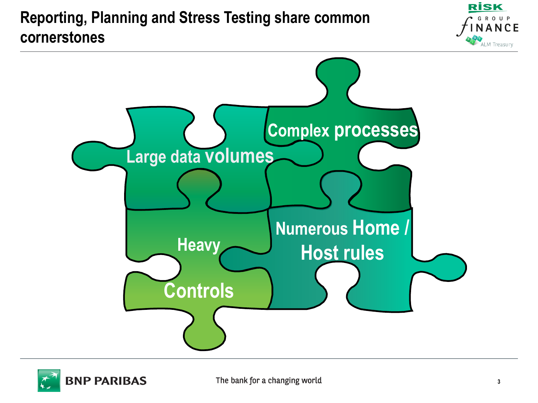#### **Reporting, Planning and Stress Testing share common cornerstones**





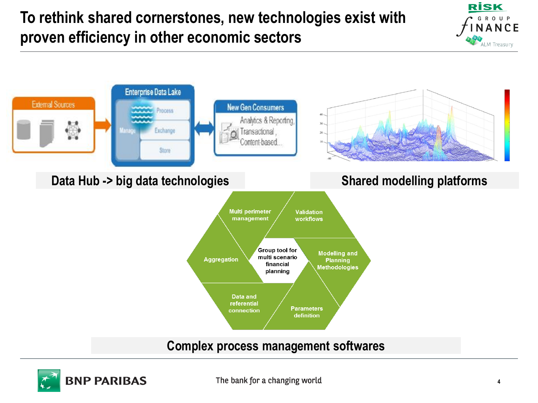#### **To rethink shared cornerstones, new technologies exist with proven efficiency in other economic sectors**





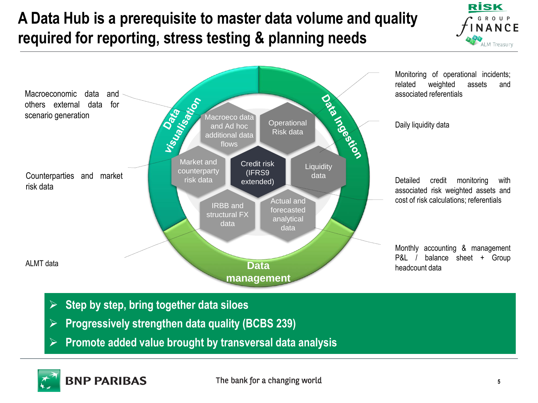#### **A Data Hub is a prerequisite to master data volume and quality required for reporting, stress testing & planning needs**





- ➢ **Step by step, bring together data siloes**
- ➢ **Progressively strengthen data quality (BCBS 239)**
- ➢ **Promote added value brought by transversal data analysis**

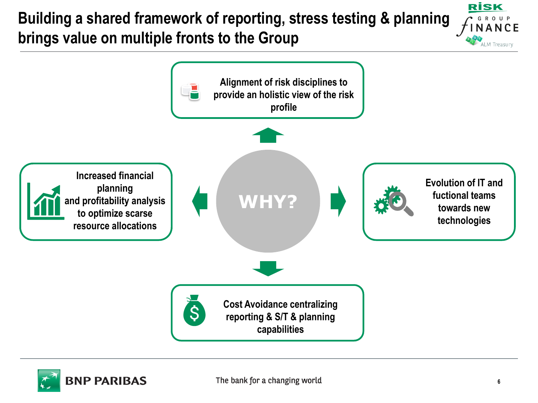#### **Building a shared framework of reporting, stress testing & planning brings value on multiple fronts to the Group**





**RİSK** 

M Treasury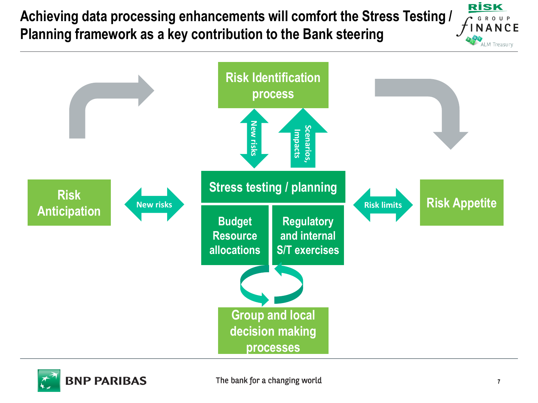**Achieving data processing enhancements will comfort the Stress Testing / Planning framework as a key contribution to the Bank steering**





**RİSK**  $\mathsf{R}$  $\Omega$ NANCE

**ALM Treasury**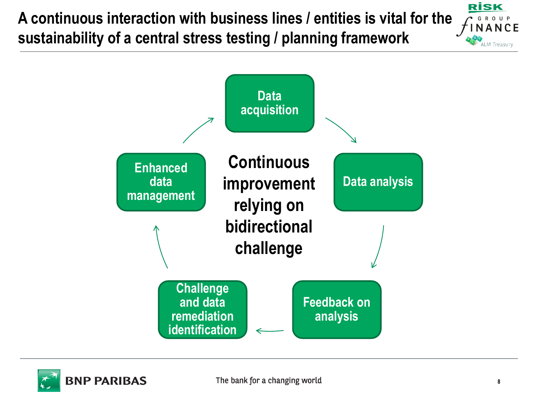**A continuous interaction with business lines / entities is vital for the sustainability of a central stress testing / planning framework**





**RİSK** 

M Treasury